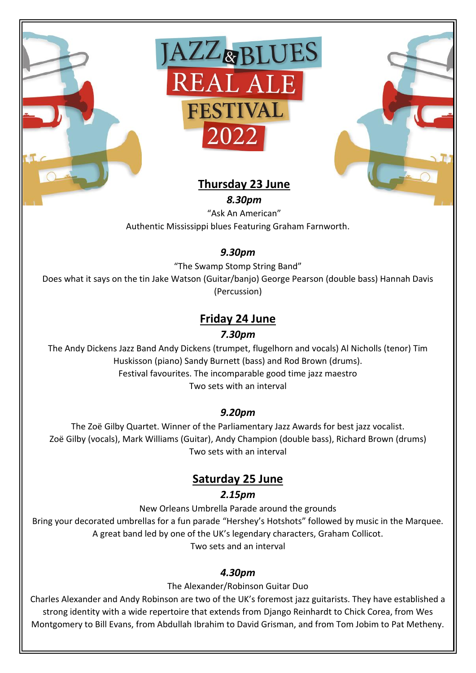





# **Thursday 23 June**

*8.30pm* "Ask An American" Authentic Mississippi blues Featuring Graham Farnworth.

# *9.30pm*

"The Swamp Stomp String Band"

Does what it says on the tin Jake Watson (Guitar/banjo) George Pearson (double bass) Hannah Davis (Percussion)

# **Friday 24 June**

### *7.30pm*

The Andy Dickens Jazz Band Andy Dickens (trumpet, flugelhorn and vocals) Al Nicholls (tenor) Tim Huskisson (piano) Sandy Burnett (bass) and Rod Brown (drums). Festival favourites. The incomparable good time jazz maestro Two sets with an interval

## *9.20pm*

The Zoë Gilby Quartet. Winner of the Parliamentary Jazz Awards for best jazz vocalist. Zoë Gilby (vocals), Mark Williams (Guitar), Andy Champion (double bass), Richard Brown (drums) Two sets with an interval

# **Saturday 25 June**

## *2.15pm*

New Orleans Umbrella Parade around the grounds

Bring your decorated umbrellas for a fun parade "Hershey's Hotshots" followed by music in the Marquee. A great band led by one of the UK's legendary characters, Graham Collicot. Two sets and an interval

## *4.30pm*

The Alexander/Robinson Guitar Duo

Charles Alexander and Andy Robinson are two of the UK's foremost jazz guitarists. They have established a strong identity with a wide repertoire that extends from Django Reinhardt to Chick Corea, from Wes Montgomery to Bill Evans, from Abdullah Ibrahim to David Grisman, and from Tom Jobim to Pat Metheny.